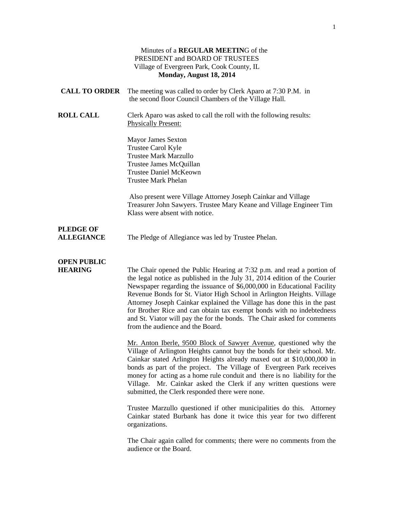|                                       | Minutes of a REGULAR MEETING of the<br>PRESIDENT and BOARD OF TRUSTEES<br>Village of Evergreen Park, Cook County, IL<br>Monday, August 18, 2014                                                                                                                                                                                                                                                                                                                                                                                                                             |
|---------------------------------------|-----------------------------------------------------------------------------------------------------------------------------------------------------------------------------------------------------------------------------------------------------------------------------------------------------------------------------------------------------------------------------------------------------------------------------------------------------------------------------------------------------------------------------------------------------------------------------|
| <b>CALL TO ORDER</b>                  | The meeting was called to order by Clerk Aparo at 7:30 P.M. in<br>the second floor Council Chambers of the Village Hall.                                                                                                                                                                                                                                                                                                                                                                                                                                                    |
| <b>ROLL CALL</b>                      | Clerk Aparo was asked to call the roll with the following results:<br><b>Physically Present:</b>                                                                                                                                                                                                                                                                                                                                                                                                                                                                            |
|                                       | <b>Mayor James Sexton</b><br>Trustee Carol Kyle<br><b>Trustee Mark Marzullo</b><br>Trustee James McQuillan<br><b>Trustee Daniel McKeown</b><br><b>Trustee Mark Phelan</b>                                                                                                                                                                                                                                                                                                                                                                                                   |
|                                       | Also present were Village Attorney Joseph Cainkar and Village<br>Treasurer John Sawyers. Trustee Mary Keane and Village Engineer Tim<br>Klass were absent with notice.                                                                                                                                                                                                                                                                                                                                                                                                      |
| <b>PLEDGE OF</b><br><b>ALLEGIANCE</b> | The Pledge of Allegiance was led by Trustee Phelan.                                                                                                                                                                                                                                                                                                                                                                                                                                                                                                                         |
| <b>OPEN PUBLIC</b><br><b>HEARING</b>  | The Chair opened the Public Hearing at 7:32 p.m. and read a portion of<br>the legal notice as published in the July 31, 2014 edition of the Courier<br>Newspaper regarding the issuance of \$6,000,000 in Educational Facility<br>Revenue Bonds for St. Viator High School in Arlington Heights. Village<br>Attorney Joseph Cainkar explained the Village has done this in the past<br>for Brother Rice and can obtain tax exempt bonds with no indebtedness<br>and St. Viator will pay the for the bonds. The Chair asked for comments<br>from the audience and the Board. |
|                                       | Mr. Anton Iberle, 9500 Block of Sawyer Avenue, questioned why the<br>Village of Arlington Heights cannot buy the bonds for their school. Mr.<br>Cainkar stated Arlington Heights already maxed out at \$10,000,000 in<br>bonds as part of the project. The Village of Evergreen Park receives<br>money for acting as a home rule conduit and there is no liability for the<br>Village. Mr. Cainkar asked the Clerk if any written questions were<br>submitted, the Clerk responded there were none.                                                                         |
|                                       | Trustee Marzullo questioned if other municipalities do this. Attorney<br>Cainkar stated Burbank has done it twice this year for two different<br>organizations.                                                                                                                                                                                                                                                                                                                                                                                                             |
|                                       | The Chair again called for comments; there were no comments from the<br>audience or the Board.                                                                                                                                                                                                                                                                                                                                                                                                                                                                              |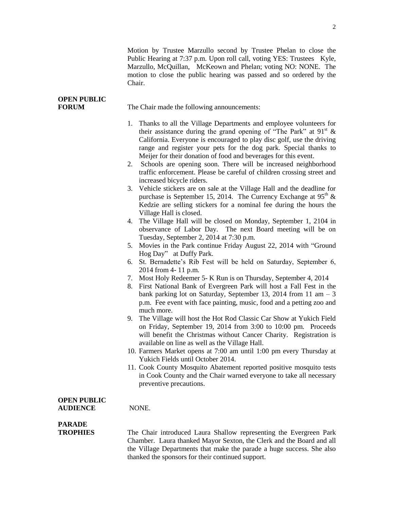Motion by Trustee Marzullo second by Trustee Phelan to close the Public Hearing at 7:37 p.m. Upon roll call, voting YES: Trustees Kyle, Marzullo, McQuillan, McKeown and Phelan; voting NO: NONE. The motion to close the public hearing was passed and so ordered by the Chair.

| <b>OPEN PUBLIC</b>                    |                                                                                                                                                                                                                                                                                                                                                                                                                                                                                                                                                                                                                                                                                                                                                                                                                                                                                                                                                                                                                                                                                                                                                                                                                                                                                                                                                                                                                                                                                                                                                                                                                                                                                                                                                                                                                                                                                                                                                                                                                                              |
|---------------------------------------|----------------------------------------------------------------------------------------------------------------------------------------------------------------------------------------------------------------------------------------------------------------------------------------------------------------------------------------------------------------------------------------------------------------------------------------------------------------------------------------------------------------------------------------------------------------------------------------------------------------------------------------------------------------------------------------------------------------------------------------------------------------------------------------------------------------------------------------------------------------------------------------------------------------------------------------------------------------------------------------------------------------------------------------------------------------------------------------------------------------------------------------------------------------------------------------------------------------------------------------------------------------------------------------------------------------------------------------------------------------------------------------------------------------------------------------------------------------------------------------------------------------------------------------------------------------------------------------------------------------------------------------------------------------------------------------------------------------------------------------------------------------------------------------------------------------------------------------------------------------------------------------------------------------------------------------------------------------------------------------------------------------------------------------------|
| <b>FORUM</b>                          | The Chair made the following announcements:                                                                                                                                                                                                                                                                                                                                                                                                                                                                                                                                                                                                                                                                                                                                                                                                                                                                                                                                                                                                                                                                                                                                                                                                                                                                                                                                                                                                                                                                                                                                                                                                                                                                                                                                                                                                                                                                                                                                                                                                  |
|                                       | Thanks to all the Village Departments and employee volunteers for<br>1.<br>their assistance during the grand opening of "The Park" at $91^{\text{st}}$ &<br>California. Everyone is encouraged to play disc golf, use the driving<br>range and register your pets for the dog park. Special thanks to<br>Meijer for their donation of food and beverages for this event.<br>2. Schools are opening soon. There will be increased neighborhood<br>traffic enforcement. Please be careful of children crossing street and<br>increased bicycle riders.<br>3. Vehicle stickers are on sale at the Village Hall and the deadline for<br>purchase is September 15, 2014. The Currency Exchange at $95^{\text{th}}$ &<br>Kedzie are selling stickers for a nominal fee during the hours the<br>Village Hall is closed.<br>4. The Village Hall will be closed on Monday, September 1, 2104 in<br>observance of Labor Day. The next Board meeting will be on<br>Tuesday, September 2, 2014 at 7:30 p.m.<br>Movies in the Park continue Friday August 22, 2014 with "Ground<br>5.<br>Hog Day" at Duffy Park.<br>St. Bernadette's Rib Fest will be held on Saturday, September 6,<br>6.<br>2014 from 4-11 p.m.<br>Most Holy Redeemer 5- K Run is on Thursday, September 4, 2014<br>7.<br>First National Bank of Evergreen Park will host a Fall Fest in the<br>8.<br>bank parking lot on Saturday, September 13, 2014 from 11 am $-3$<br>p.m. Fee event with face painting, music, food and a petting zoo and<br>much more.<br>9. The Village will host the Hot Rod Classic Car Show at Yukich Field<br>on Friday, September 19, 2014 from 3:00 to 10:00 pm. Proceeds<br>will benefit the Christmas without Cancer Charity. Registration is<br>available on line as well as the Village Hall.<br>10. Farmers Market opens at 7:00 am until 1:00 pm every Thursday at<br>Yukich Fields until October 2014.<br>11. Cook County Mosquito Abatement reported positive mosquito tests<br>in Cook County and the Chair warned everyone to take all necessary |
|                                       | preventive precautions.                                                                                                                                                                                                                                                                                                                                                                                                                                                                                                                                                                                                                                                                                                                                                                                                                                                                                                                                                                                                                                                                                                                                                                                                                                                                                                                                                                                                                                                                                                                                                                                                                                                                                                                                                                                                                                                                                                                                                                                                                      |
| <b>OPEN PUBLIC</b><br><b>AUDIENCE</b> | NONE.                                                                                                                                                                                                                                                                                                                                                                                                                                                                                                                                                                                                                                                                                                                                                                                                                                                                                                                                                                                                                                                                                                                                                                                                                                                                                                                                                                                                                                                                                                                                                                                                                                                                                                                                                                                                                                                                                                                                                                                                                                        |
| <b>PARADE</b><br><b>TROPHIES</b>      | The Chair introduced Laura Shallow representing the Evergreen Park<br>Chamber. Laura thanked Mayor Sexton, the Clerk and the Board and all<br>the Village Departments that make the parade a huge success. She also<br>thanked the sponsors for their continued support.                                                                                                                                                                                                                                                                                                                                                                                                                                                                                                                                                                                                                                                                                                                                                                                                                                                                                                                                                                                                                                                                                                                                                                                                                                                                                                                                                                                                                                                                                                                                                                                                                                                                                                                                                                     |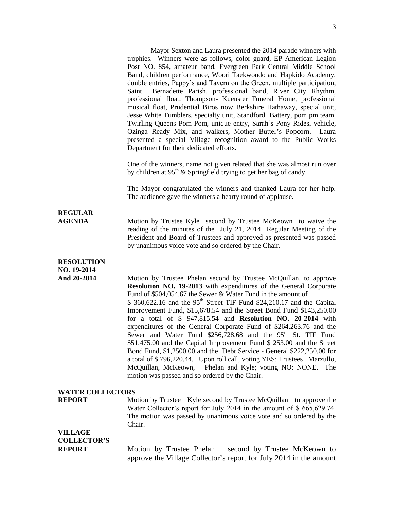Mayor Sexton and Laura presented the 2014 parade winners with trophies. Winners were as follows, color guard, EP American Legion Post NO. 854, amateur band, Evergreen Park Central Middle School Band, children performance, Woori Taekwondo and Hapkido Academy, double entries, Pappy's and Tavern on the Green, multiple participation, Saint Bernadette Parish, professional band, River City Rhythm, professional float, Thompson- Kuenster Funeral Home, professional musical float, Prudential Biros now Berkshire Hathaway, special unit, Jesse White Tumblers, specialty unit, Standford Battery, pom pm team, Twirling Queens Pom Pom, unique entry, Sarah's Pony Rides, vehicle, Ozinga Ready Mix, and walkers, Mother Butter's Popcorn. Laura presented a special Village recognition award to the Public Works Department for their dedicated efforts. One of the winners, name not given related that she was almost run over by children at  $95<sup>th</sup>$  & Springfield trying to get her bag of candy. The Mayor congratulated the winners and thanked Laura for her help. The audience gave the winners a hearty round of applause. **REGULAR AGENDA** Motion by Trustee Kyle second by Trustee McKeown to waive the reading of the minutes of the July 21, 2014 Regular Meeting of the President and Board of Trustees and approved as presented was passed by unanimous voice vote and so ordered by the Chair. **RESOLUTION NO. 19-2014** And 20-2014 Motion by Trustee Phelan second by Trustee McQuillan, to approve **Resolution NO. 19-2013** with expenditures of the General Corporate Fund of \$504,054.67 the Sewer & Water Fund in the amount of  $$360,622.16$  and the 95<sup>th</sup> Street TIF Fund \$24,210.17 and the Capital Improvement Fund, \$15,678.54 and the Street Bond Fund \$143,250.00 for a total of \$ 947,815.54 and **Resolution NO. 20-2014** with expenditures of the General Corporate Fund of \$264,263.76 and the Sewer and Water Fund  $$256,728.68$  and the 95<sup>th</sup> St. TIF Fund \$51,475.00 and the Capital Improvement Fund \$ 253.00 and the Street Bond Fund, \$1,2500.00 and the Debt Service - General \$222,250.00 for a total of \$ 796,220.44. Upon roll call, voting YES: Trustees Marzullo, McQuillan, McKeown, Phelan and Kyle; voting NO: NONE. The motion was passed and so ordered by the Chair. **WATER COLLECTORS REPORT** Motion by Trustee Kyle second by Trustee McQuillan to approve the Water Collector's report for July 2014 in the amount of \$ 665,629.74. The motion was passed by unanimous voice vote and so ordered by the Chair. **VILLAGE COLLECTOR'S REPORT** Motion by Trustee Phelan second by Trustee McKeown to

approve the Village Collector's report for July 2014 in the amount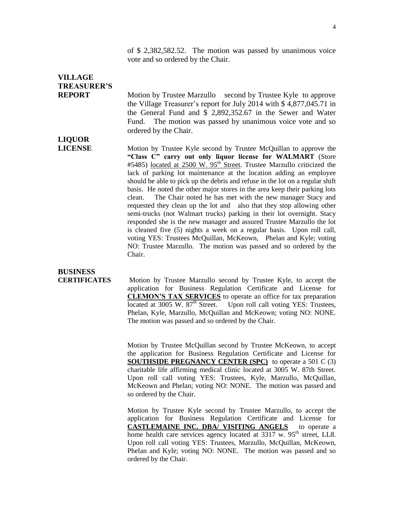of \$ 2,382,582.52. The motion was passed by unanimous voice vote and so ordered by the Chair.

## **VILLAGE TREASURER'S**

**LIQUOR**

**REPORT** Motion by Trustee Marzullo second by Trustee Kyle to approve the Village Treasurer's report for July 2014 with \$ 4,877,045.71 in the General Fund and \$ 2,892,352.67 in the Sewer and Water Fund. The motion was passed by unanimous voice vote and so ordered by the Chair.

**LICENSE** Motion by Trustee Kyle second by Trustee McQuillan to approve the **"Class C" carry out only liquor license for WALMART** (Store #5485) located at 2500 W.  $95<sup>th</sup>$  Street. Trustee Marzullo criticized the lack of parking lot maintenance at the location adding an employee should be able to pick up the debris and refuse in the lot on a regular shift basis. He noted the other major stores in the area keep their parking lots clean. The Chair noted he has met with the new manager Stacy and requested they clean up the lot and also that they stop allowing other semi-trucks (not Walmart trucks) parking in their lot overnight. Stacy responded she is the new manager and assured Trustee Marzullo the lot is cleaned five (5) nights a week on a regular basis. Upon roll call, voting YES: Trustees McQuillan, McKeown, Phelan and Kyle; voting NO: Trustee Marzullo. The motion was passed and so ordered by the Chair.

# **BUSINESS**

**CERTIFICATES** Motion by Trustee Marzullo second by Trustee Kyle, to accept the application for Business Regulation Certificate and License for **CLEMON'S TAX SERVICES** to operate an office for tax preparation located at 3005 W. 87<sup>th</sup> Street. Upon roll call voting YES: Trustees, Phelan, Kyle, Marzullo, McQuillan and McKeown; voting NO: NONE. The motion was passed and so ordered by the Chair.

> Motion by Trustee McQuillan second by Trustee McKeown, to accept the application for Business Regulation Certificate and License for **SOUTHSIDE PREGNANCY CENTER (SPC)** to operate a 501 C (3) charitable life affirming medical clinic located at 3005 W. 87th Street. Upon roll call voting YES: Trustees, Kyle, Marzullo, McQuillan, McKeown and Phelan; voting NO: NONE. The motion was passed and so ordered by the Chair.

> Motion by Trustee Kyle second by Trustee Marzullo, to accept the application for Business Regulation Certificate and License for **CASTLEMAINE INC. DBA/ VISITING ANGELS** to operate a home health care services agency located at 3317 w. 95<sup>th</sup> street, LL8. Upon roll call voting YES: Trustees, Marzullo, McQuillan, McKeown, Phelan and Kyle; voting NO: NONE. The motion was passed and so ordered by the Chair.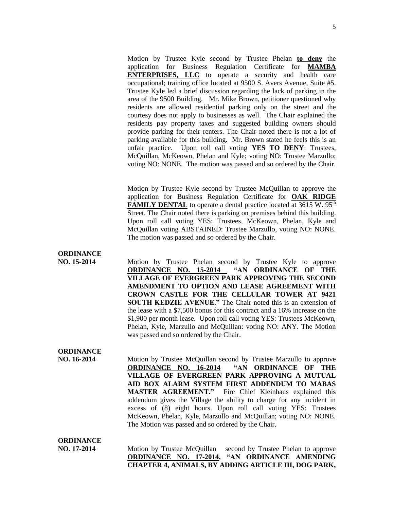Motion by Trustee Kyle second by Trustee Phelan **to deny** the application for Business Regulation Certificate for **MAMBA ENTERPRISES, LLC** to operate a security and health care occupational; training office located at 9500 S. Avers Avenue, Suite #5. Trustee Kyle led a brief discussion regarding the lack of parking in the area of the 9500 Building. Mr. Mike Brown, petitioner questioned why residents are allowed residential parking only on the street and the courtesy does not apply to businesses as well. The Chair explained the residents pay property taxes and suggested building owners should provide parking for their renters. The Chair noted there is not a lot of parking available for this building. Mr. Brown stated he feels this is an unfair practice. Upon roll call voting **YES TO DENY**: Trustees, McQuillan, McKeown, Phelan and Kyle; voting NO: Trustee Marzullo; voting NO: NONE. The motion was passed and so ordered by the Chair.

Motion by Trustee Kyle second by Trustee McQuillan to approve the application for Business Regulation Certificate for **OAK RIDGE FAMILY DENTAL** to operate a dental practice located at 3615 W. 95<sup>th</sup> Street. The Chair noted there is parking on premises behind this building. Upon roll call voting YES: Trustees, McKeown, Phelan, Kyle and McQuillan voting ABSTAINED: Trustee Marzullo, voting NO: NONE. The motion was passed and so ordered by the Chair.

### **ORDINANCE**

**NO. 15-2014** Motion by Trustee Phelan second by Trustee Kyle to approve **ORDINANCE NO. 15-2014 "AN ORDINANCE OF THE VILLAGE OF EVERGREEN PARK APPROVING THE SECOND AMENDMENT TO OPTION AND LEASE AGREEMENT WITH CROWN CASTLE FOR THE CELLULAR TOWER AT 9421 SOUTH KEDZIE AVENUE."** The Chair noted this is an extension of the lease with a \$7,500 bonus for this contract and a 16% increase on the \$1,900 per month lease. Upon roll call voting YES: Trustees McKeown, Phelan, Kyle, Marzullo and McQuillan: voting NO: ANY. The Motion was passed and so ordered by the Chair.

## **ORDINANCE**

**NO. 16-2014** Motion by Trustee McQuillan second by Trustee Marzullo to approve **ORDINANCE NO. 16-2014 "AN ORDINANCE OF THE VILLAGE OF EVERGREEN PARK APPROVING A MUTUAL AID BOX ALARM SYSTEM FIRST ADDENDUM TO MABAS MASTER AGREEMENT."** Fire Chief Kleinhaus explained this addendum gives the Village the ability to charge for any incident in excess of (8) eight hours. Upon roll call voting YES: Trustees McKeown, Phelan, Kyle, Marzullo and McQuillan; voting NO: NONE. The Motion was passed and so ordered by the Chair.

### **ORDINANCE**

**NO. 17-2014** Motion by Trustee McQuillan second by Trustee Phelan to approve **ORDINANCE NO. 17-2014, "AN ORDINANCE AMENDING CHAPTER 4, ANIMALS, BY ADDING ARTICLE III, DOG PARK,**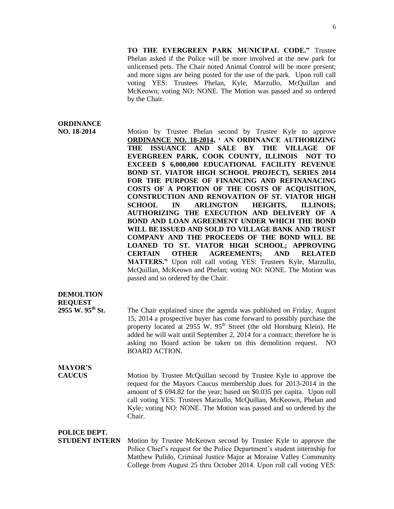**TO THE EVERGREEN PARK MUNICIPAL CODE."** Trustee Phelan asked if the Police will be more involved at the new park for unlicensed pets. The Chair noted Animal Control will be more present; and more signs are being posted for the use of the park. Upon roll call voting YES: Trustees Phelan, Kyle, Marzullo, McQuillan and McKeown; voting NO: NONE. The Motion was passed and so ordered by the Chair.

#### **ORDINANCE**

**NO. 18-2014** Motion by Trustee Phelan second by Trustee Kyle to approve **ORDINANCE NO. 18-2014, ' AN ORDINANCE AUTHORIZING THE ISSUANCE AND SALE BY THE VILLAGE OF EVERGREEN PARK, COOK COUNTY, ILLINOIS NOT TO EXCEED \$ 6,000,000 EDUCATIONAL FACILITY REVENUE BOND ST. VIATOR HIGH SCHOOL PROJECT), SERIES 2014 FOR THE PURPOSE OF FINANCING AND REFINANACING COSTS OF A PORTION OF THE COSTS OF ACQUISITION, CONSTRUCTION AND RENOVATION OF ST. VIATOR HIGH SCHOOL IN ARLINGTON HEIGHTS, ILLINOIS; AUTHORIZING THE EXECUTION AND DELIVERY OF A BOND AND LOAN AGREEMENT UNDER WHICH THE BOND WILL BE ISSUED AND SOLD TO VILLAGE BANK AND TRUST COMPANY AND THE PROCEEDS OF THE BOND WILL BE LOANED TO ST. VIATOR HIGH SCHOOL; APPROVING CERTAIN OTHER AGREEMENTS; AND RELATED MATTERS."** Upon roll call voting YES: Trustees Kyle, Marzullo, McQuillan, McKeown and Phelan; voting NO: NONE. The Motion was passed and so ordered by the Chair.

### **DEMOLTION REQUEST**<br>2955 W. 95<sup>th</sup> St.

The Chair explained since the agenda was published on Friday, August 15, 2014 a prospective buyer has come forward to possibly purchase the property located at 2955 W. 95<sup>th</sup> Street (the old Hornburg Klein). He added he will wait until September 2, 2014 for a contract; therefore he is asking no Board action be taken on this demolition request. NO BOARD ACTION.

# **MAYOR'S**

**CAUCUS** Motion by Trustee McQuillan second by Trustee Kyle to approve the request for the Mayors Caucus membership dues for 2013-2014 in the amount of \$ 694.82 for the year; based on \$0.035 per capita. Upon roll call voting YES: Trustees Marzullo, McQuillan, McKeown, Phelan and Kyle; voting NO: NONE. The Motion was passed and so ordered by the Chair.

#### **POLICE DEPT.**

**STUDENT INTERN** Motion by Trustee McKeown second by Trustee Kyle to approve the Police Chief's request for the Police Department's student internship for Matthew Pulido, Criminal Justice Major at Moraine Valley Community College from August 25 thru October 2014. Upon roll call voting YES: